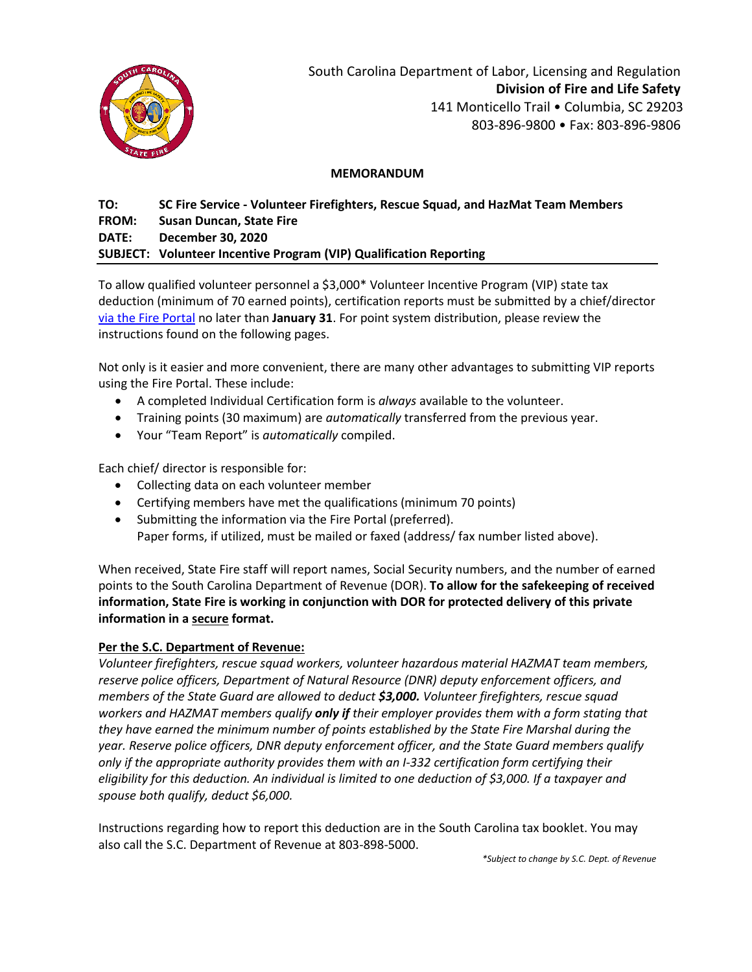

South Carolina Department of Labor, Licensing and Regulation **Division of Fire and Life Safety** 141 Monticello Trail • Columbia, SC 29203 803-896-9800 • Fax: 803-896-9806

#### **MEMORANDUM**

# **TO: SC Fire Service - Volunteer Firefighters, Rescue Squad, and HazMat Team Members FROM: Susan Duncan, State Fire DATE: December 30, 2020 SUBJECT: Volunteer Incentive Program (VIP) Qualification Reporting**

To allow qualified volunteer personnel a \$3,000\* Volunteer Incentive Program (VIP) state tax deduction (minimum of 70 earned points), certification reports must be submitted by a chief/director via the Fire Portal no later than **January 31**. For point system distribution, please review the instructions found on the following pages.

Not only is it easier and more convenient, there are many other advantages to submitting VIP reports using the Fire Portal. These include:

- A completed Individual Certification form is *always* available to the volunteer.
- Training points (30 maximum) are *automatically* transferred from the previous year.
- Your "Team Report" is *automatically* compiled.

Each chief/ director is responsible for:

- Collecting data on each volunteer member
- Certifying members have met the qualifications (minimum 70 points)
- Submitting the information via the Fire Portal (preferred). Paper forms, if utilized, must be mailed or faxed (address/ fax number listed above).

When received, State Fire staff will report names, Social Security numbers, and the number of earned points to the South Carolina Department of Revenue (DOR). **To allow for the safekeeping of received information, State Fire is working in conjunction with DOR for protected delivery of this private information in a secure format.**

## **Per the S.C. Department of Revenue:**

*Volunteer firefighters, rescue squad workers, volunteer hazardous material HAZMAT team members, reserve police officers, Department of Natural Resource (DNR) deputy enforcement officers, and members of the State Guard are allowed to deduct \$3,000. Volunteer firefighters, rescue squad workers and HAZMAT members qualify only if their employer provides them with a form stating that they have earned the minimum number of points established by the State Fire Marshal during the year. Reserve police officers, DNR deputy enforcement officer, and the State Guard members qualify only if the appropriate authority provides them with an I-332 certification form certifying their eligibility for this deduction. An individual is limited to one deduction of \$3,000. If a taxpayer and spouse both qualify, deduct \$6,000.* 

Instructions regarding how to report this deduction are in the South Carolina tax booklet. You may also call the S.C. Department of Revenue at 803-898-5000.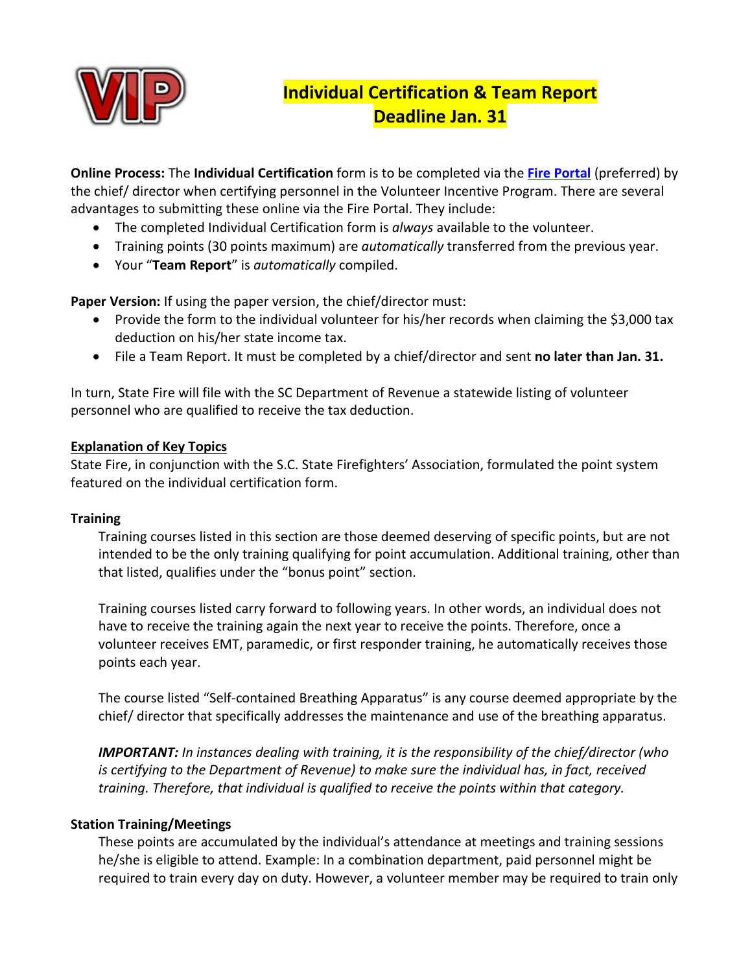

# **Individual Certification & Team Report Deadline Jan. 31**

**Online Process:** The **Individual Certification** form is to be completed via the **[Fire Portal](https://fire.llr.sc.gov/Portal/NewLogIn.aspx)** (preferred) by the chief/ director when certifying personnel in the Volunteer Incentive Program. There are several advantages to submitting these online via the Fire Portal. They include:

- The completed Individual Certification form is *always* available to the volunteer.
- Training points (30 points maximum) are *automatically* transferred from the previous year.
- Your "**Team Report**" is *automatically* compiled.

**Paper Version:** If using the paper version, the chief/director must:

- Provide the form to the individual volunteer for his/her records when claiming the \$3,000 tax deduction on his/her state income tax.
- File a Team Report. It must be completed by a chief/director and sent **no later than Jan. 31.**

In turn, State Fire will file with the SC Department of Revenue a statewide listing of volunteer personnel who are qualified to receive the tax deduction.

# **Explanation of Key Topics**

State Fire, in conjunction with the S.C. State Firefighters' Association, formulated the point system featured on the individual certification form.

## **Training**

Training courses listed in this section are those deemed deserving of specific points, but are not intended to be the only training qualifying for point accumulation. Additional training, other than that listed, qualifies under the "bonus point" section.

Training courses listed carry forward to following years. In other words, an individual does not have to receive the training again the next year to receive the points. Therefore, once a volunteer receives EMT, paramedic, or first responder training, he automatically receives those points each year.

The course listed "Self-contained Breathing Apparatus" is any course deemed appropriate by the chief/ director that specifically addresses the maintenance and use of the breathing apparatus.

*IMPORTANT: In instances dealing with training, it is the responsibility of the chief/director (who is certifying to the Department of Revenue) to make sure the individual has, in fact, received training. Therefore, that individual is qualified to receive the points within that category.* 

# **Station Training/Meetings**

These points are accumulated by the individual's attendance at meetings and training sessions he/she is eligible to attend. Example: In a combination department, paid personnel might be required to train every day on duty. However, a volunteer member may be required to train only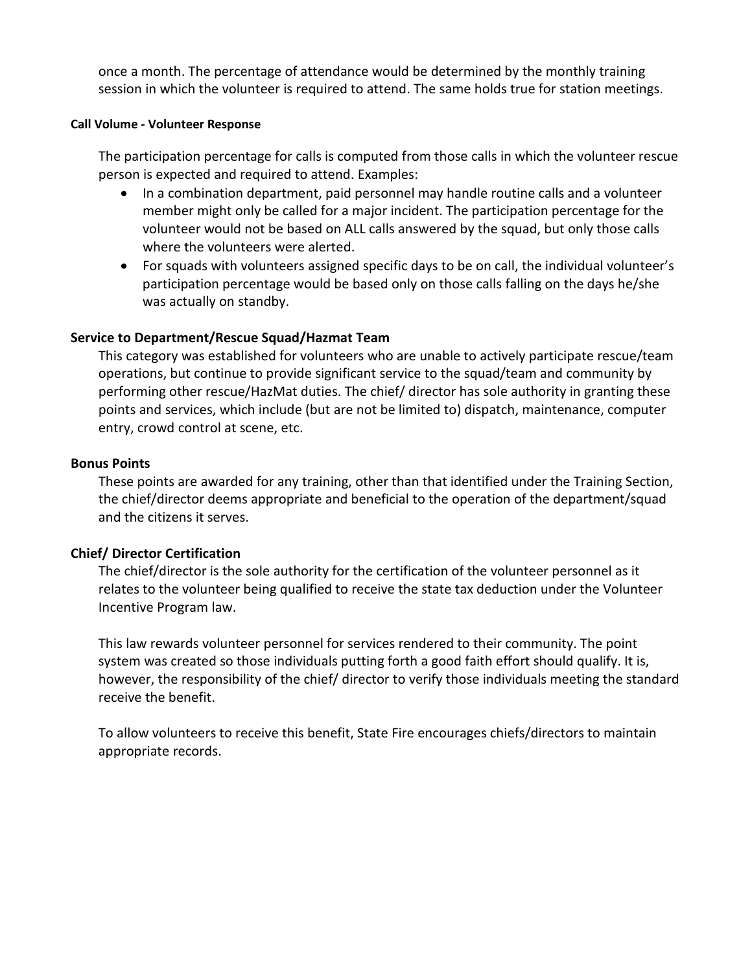once a month. The percentage of attendance would be determined by the monthly training session in which the volunteer is required to attend. The same holds true for station meetings.

#### **Call Volume - Volunteer Response**

The participation percentage for calls is computed from those calls in which the volunteer rescue person is expected and required to attend. Examples:

- In a combination department, paid personnel may handle routine calls and a volunteer member might only be called for a major incident. The participation percentage for the volunteer would not be based on ALL calls answered by the squad, but only those calls where the volunteers were alerted.
- For squads with volunteers assigned specific days to be on call, the individual volunteer's participation percentage would be based only on those calls falling on the days he/she was actually on standby.

# **Service to Department/Rescue Squad/Hazmat Team**

This category was established for volunteers who are unable to actively participate rescue/team operations, but continue to provide significant service to the squad/team and community by performing other rescue/HazMat duties. The chief/ director has sole authority in granting these points and services, which include (but are not be limited to) dispatch, maintenance, computer entry, crowd control at scene, etc.

## **Bonus Points**

These points are awarded for any training, other than that identified under the Training Section, the chief/director deems appropriate and beneficial to the operation of the department/squad and the citizens it serves.

## **Chief/ Director Certification**

The chief/director is the sole authority for the certification of the volunteer personnel as it relates to the volunteer being qualified to receive the state tax deduction under the Volunteer Incentive Program law.

This law rewards volunteer personnel for services rendered to their community. The point system was created so those individuals putting forth a good faith effort should qualify. It is, however, the responsibility of the chief/ director to verify those individuals meeting the standard receive the benefit.

To allow volunteers to receive this benefit, State Fire encourages chiefs/directors to maintain appropriate records.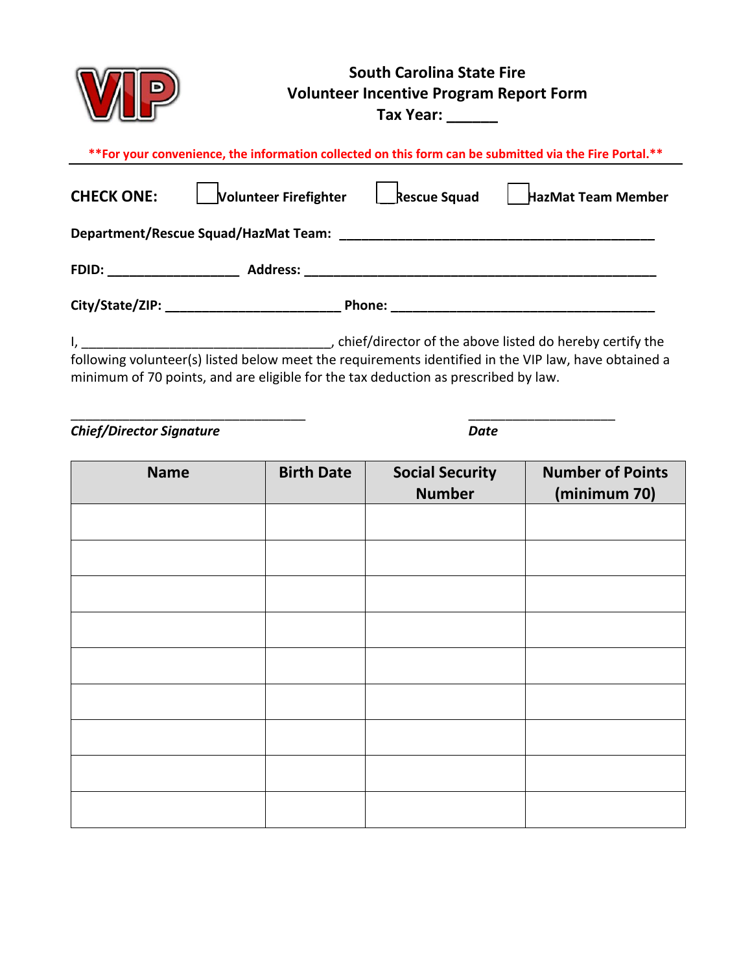|                                                                                                                                                                                            | <b>South Carolina State Fire</b><br><b>Volunteer Incentive Program Report Form</b><br>Tax Year: |                                         |                                         |  |  |
|--------------------------------------------------------------------------------------------------------------------------------------------------------------------------------------------|-------------------------------------------------------------------------------------------------|-----------------------------------------|-----------------------------------------|--|--|
| ** For your convenience, the information collected on this form can be submitted via the Fire Portal.**                                                                                    |                                                                                                 |                                         |                                         |  |  |
| Volunteer Firefighter   Rescue Squad<br><b>CHECK ONE:</b><br>  HazMat Team Member                                                                                                          |                                                                                                 |                                         |                                         |  |  |
|                                                                                                                                                                                            |                                                                                                 |                                         |                                         |  |  |
|                                                                                                                                                                                            |                                                                                                 |                                         |                                         |  |  |
|                                                                                                                                                                                            |                                                                                                 |                                         |                                         |  |  |
| following volunteer(s) listed below meet the requirements identified in the VIP law, have obtained a<br>minimum of 70 points, and are eligible for the tax deduction as prescribed by law. |                                                                                                 |                                         |                                         |  |  |
| <b>Chief/Director Signature</b>                                                                                                                                                            | <b>Date</b>                                                                                     |                                         |                                         |  |  |
| <b>Name</b>                                                                                                                                                                                | <b>Birth Date</b>                                                                               | <b>Social Security</b><br><b>Number</b> | <b>Number of Points</b><br>(minimum 70) |  |  |
|                                                                                                                                                                                            |                                                                                                 |                                         |                                         |  |  |
|                                                                                                                                                                                            |                                                                                                 |                                         |                                         |  |  |
|                                                                                                                                                                                            |                                                                                                 |                                         |                                         |  |  |

| 111112 | <b>PHAILDAC</b> | <b>Social Sceatify</b><br><b>Number</b> | <b>INNITINGLATION</b><br>(minimum 70) |
|--------|-----------------|-----------------------------------------|---------------------------------------|
|        |                 |                                         |                                       |
|        |                 |                                         |                                       |
|        |                 |                                         |                                       |
|        |                 |                                         |                                       |
|        |                 |                                         |                                       |
|        |                 |                                         |                                       |
|        |                 |                                         |                                       |
|        |                 |                                         |                                       |
|        |                 |                                         |                                       |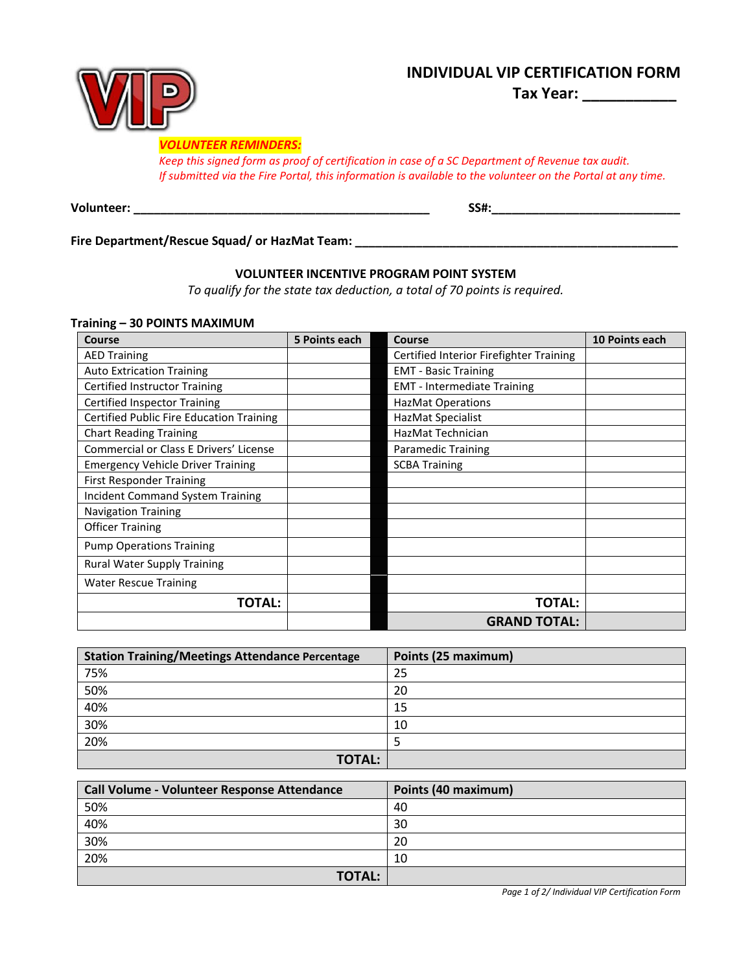# **INDIVIDUAL VIP CERTIFICATION FORM**

**Tax Year: \_\_\_\_\_\_\_\_\_\_\_**



#### *VOLUNTEER REMINDERS:*

*Keep this signed form as proof of certification in case of a SC Department of Revenue tax audit. If submitted via the Fire Portal, this information is available to the volunteer on the Portal at any time.*

**Volunteer: \_\_\_\_\_\_\_\_\_\_\_\_\_\_\_\_\_\_\_\_\_\_\_\_\_\_\_\_\_\_\_\_\_\_\_\_\_\_\_\_\_\_\_\_ SS#:\_\_\_\_\_\_\_\_\_\_\_\_\_\_\_\_\_\_\_\_\_\_\_\_\_\_\_\_** 

**Fire Department/Rescue Squad/ or HazMat Team: \_\_\_\_\_\_\_\_\_\_\_\_\_\_\_\_\_\_\_\_\_\_\_\_\_\_\_\_\_\_\_\_\_\_\_\_\_\_\_\_\_\_\_\_\_\_\_\_** 

#### **VOLUNTEER INCENTIVE PROGRAM POINT SYSTEM**

*To qualify for the state tax deduction, a total of 70 points is required.*

#### **Training – 30 POINTS MAXIMUM**

| <b>Course</b>                                   | 5 Points each | <b>Course</b>                           | 10 Points each |
|-------------------------------------------------|---------------|-----------------------------------------|----------------|
| <b>AED Training</b>                             |               | Certified Interior Firefighter Training |                |
| <b>Auto Extrication Training</b>                |               | <b>EMT - Basic Training</b>             |                |
| <b>Certified Instructor Training</b>            |               | <b>EMT</b> - Intermediate Training      |                |
| <b>Certified Inspector Training</b>             |               | <b>HazMat Operations</b>                |                |
| <b>Certified Public Fire Education Training</b> |               | HazMat Specialist                       |                |
| <b>Chart Reading Training</b>                   |               | HazMat Technician                       |                |
| <b>Commercial or Class E Drivers' License</b>   |               | <b>Paramedic Training</b>               |                |
| <b>Emergency Vehicle Driver Training</b>        |               | <b>SCBA Training</b>                    |                |
| <b>First Responder Training</b>                 |               |                                         |                |
| <b>Incident Command System Training</b>         |               |                                         |                |
| <b>Navigation Training</b>                      |               |                                         |                |
| <b>Officer Training</b>                         |               |                                         |                |
| <b>Pump Operations Training</b>                 |               |                                         |                |
| <b>Rural Water Supply Training</b>              |               |                                         |                |
| <b>Water Rescue Training</b>                    |               |                                         |                |
| <b>TOTAL:</b>                                   |               | <b>TOTAL:</b>                           |                |
|                                                 |               | <b>GRAND TOTAL:</b>                     |                |

| <b>Station Training/Meetings Attendance Percentage</b> | Points (25 maximum) |
|--------------------------------------------------------|---------------------|
| 75%                                                    | 25                  |
| 50%                                                    | 20                  |
| 40%                                                    | 15                  |
| 30%                                                    | 10                  |
| 20%                                                    |                     |
| <b>TOTAL:</b>                                          |                     |

| <b>Call Volume - Volunteer Response Attendance</b> | Points (40 maximum) |
|----------------------------------------------------|---------------------|
| 50%                                                | 40                  |
| 40%                                                | 30                  |
| 30%                                                | 20                  |
| 20%                                                | 10                  |
| <b>TOTAL:</b>                                      |                     |

*Page 1 of 2/ Individual VIP Certification Form*